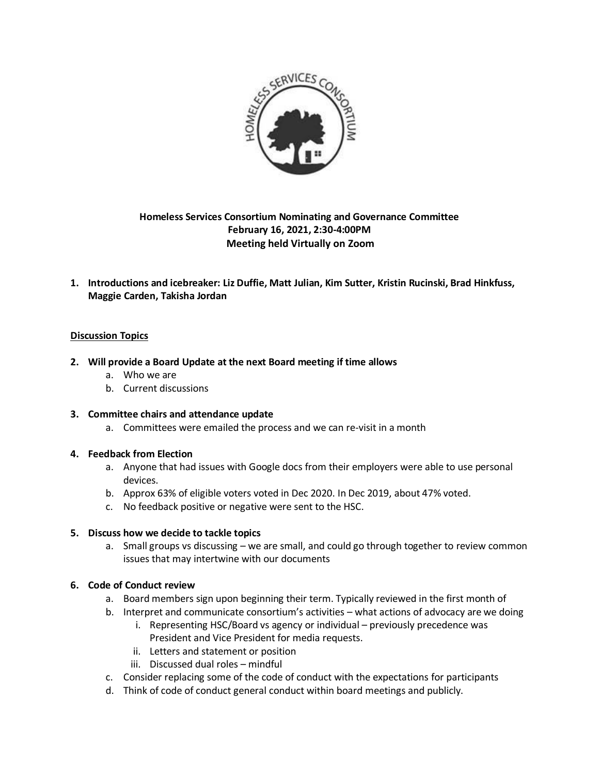

# **Homeless Services Consortium Nominating and Governance Committee February 16, 2021, 2:30-4:00PM Meeting held Virtually on Zoom**

**1. Introductions and icebreaker: Liz Duffie, Matt Julian, Kim Sutter, Kristin Rucinski, Brad Hinkfuss, Maggie Carden, Takisha Jordan**

# **Discussion Topics**

### **2. Will provide a Board Update at the next Board meeting if time allows**

- a. Who we are
- b. Current discussions
- **3. Committee chairs and attendance update**
	- a. Committees were emailed the process and we can re-visit in a month

### **4. Feedback from Election**

- a. Anyone that had issues with Google docs from their employers were able to use personal devices.
- b. Approx 63% of eligible voters voted in Dec 2020. In Dec 2019, about 47% voted.
- c. No feedback positive or negative were sent to the HSC.

### **5. Discuss how we decide to tackle topics**

a. Small groups vs discussing – we are small, and could go through together to review common issues that may intertwine with our documents

### **6. Code of Conduct review**

- a. Board members sign upon beginning their term. Typically reviewed in the first month of
- b. Interpret and communicate consortium's activities what actions of advocacy are we doing
	- i. Representing HSC/Board vs agency or individual previously precedence was President and Vice President for media requests.
	- ii. Letters and statement or position
	- iii. Discussed dual roles mindful
- c. Consider replacing some of the code of conduct with the expectations for participants
- d. Think of code of conduct general conduct within board meetings and publicly.